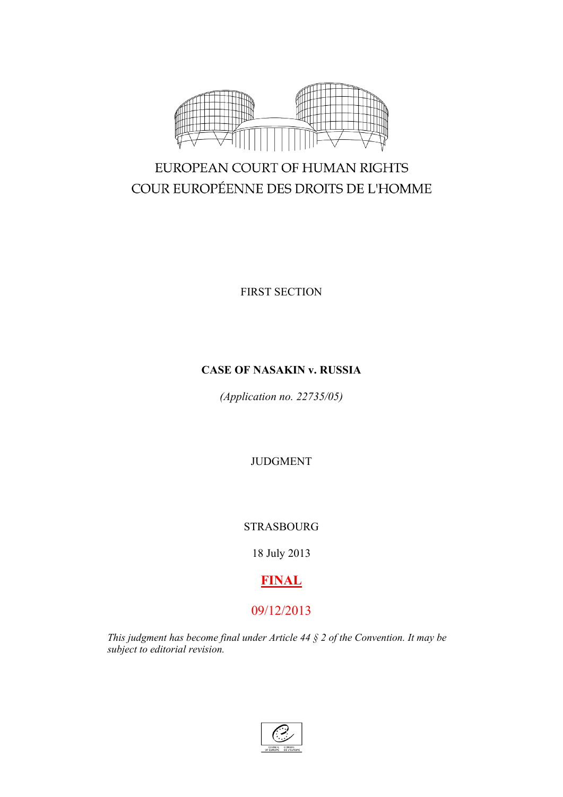

# EUROPEAN COURT OF HUMAN RIGHTS COUR EUROPÉENNE DES DROITS DE L'HOMME

FIRST SECTION

# **CASE OF NASAKIN v. RUSSIA**

*(Application no. 22735/05)*

JUDGMENT

# STRASBOURG

18 July 2013

# **FINAL**

# 09/12/2013

*This judgment has become final under Article 44 § 2 of the Convention. It may be subject to editorial revision.*

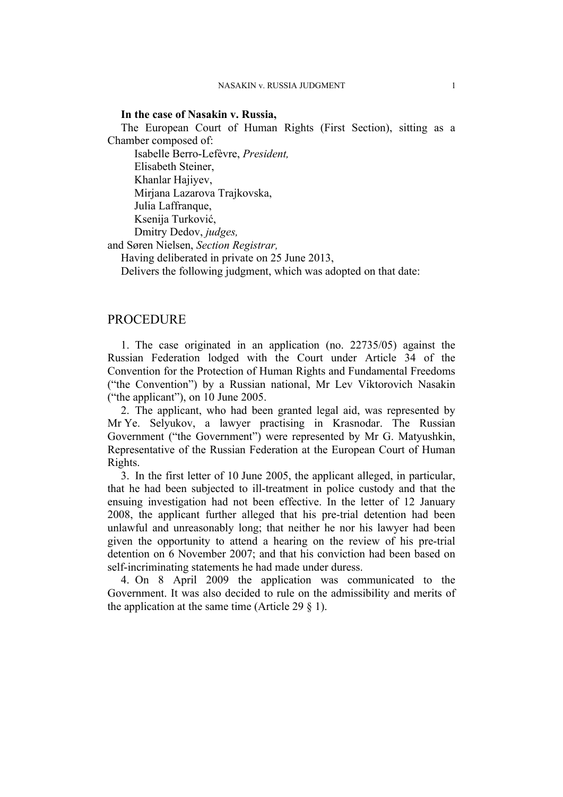#### **In the case of Nasakin v. Russia,**

The European Court of Human Rights (First Section), sitting as a Chamber composed of:

Isabelle Berro-Lefèvre, *President,*

Elisabeth Steiner,

Khanlar Hajiyev,

Mirjana Lazarova Trajkovska,

Julia Laffranque,

Ksenija Turković,

Dmitry Dedov, *judges,*

and Søren Nielsen, *Section Registrar,*

Having deliberated in private on 25 June 2013,

Delivers the following judgment, which was adopted on that date:

# **PROCEDURE**

1. The case originated in an application (no. 22735/05) against the Russian Federation lodged with the Court under Article 34 of the Convention for the Protection of Human Rights and Fundamental Freedoms ("the Convention") by a Russian national, Mr Lev Viktorovich Nasakin ("the applicant"), on 10 June 2005.

2. The applicant, who had been granted legal aid, was represented by Mr Ye. Selyukov, a lawyer practising in Krasnodar. The Russian Government ("the Government") were represented by Mr G. Matyushkin, Representative of the Russian Federation at the European Court of Human Rights.

3. In the first letter of 10 June 2005, the applicant alleged, in particular, that he had been subjected to ill-treatment in police custody and that the ensuing investigation had not been effective. In the letter of 12 January 2008, the applicant further alleged that his pre-trial detention had been unlawful and unreasonably long; that neither he nor his lawyer had been given the opportunity to attend a hearing on the review of his pre-trial detention on 6 November 2007; and that his conviction had been based on self-incriminating statements he had made under duress.

4. On 8 April 2009 the application was communicated to the Government. It was also decided to rule on the admissibility and merits of the application at the same time (Article 29  $\S$  1).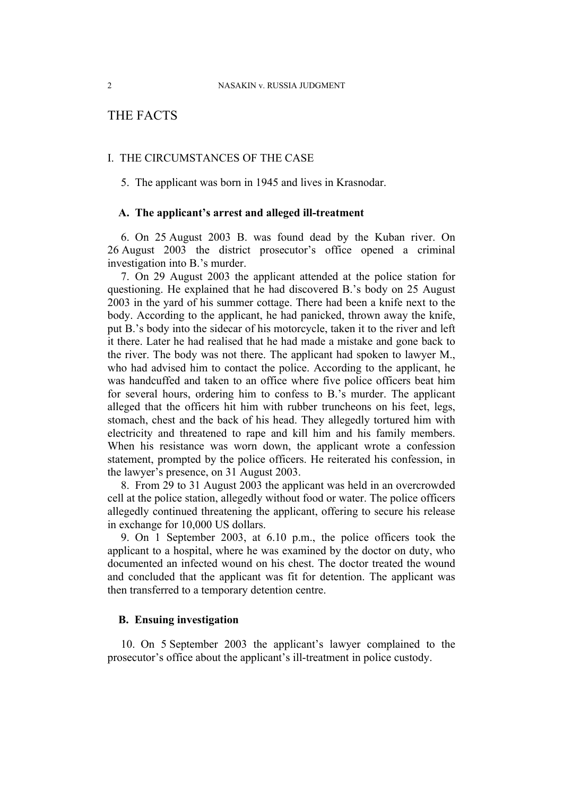# THE FACTS

# I. THE CIRCUMSTANCES OF THE CASE

5. The applicant was born in 1945 and lives in Krasnodar.

## **A. The applicant's arrest and alleged ill-treatment**

6. On 25 August 2003 B. was found dead by the Kuban river. On 26 August 2003 the district prosecutor's office opened a criminal investigation into B.'s murder.

7. On 29 August 2003 the applicant attended at the police station for questioning. He explained that he had discovered B.'s body on 25 August 2003 in the yard of his summer cottage. There had been a knife next to the body. According to the applicant, he had panicked, thrown away the knife, put B.'s body into the sidecar of his motorcycle, taken it to the river and left it there. Later he had realised that he had made a mistake and gone back to the river. The body was not there. The applicant had spoken to lawyer M., who had advised him to contact the police. According to the applicant, he was handcuffed and taken to an office where five police officers beat him for several hours, ordering him to confess to B.'s murder. The applicant alleged that the officers hit him with rubber truncheons on his feet, legs, stomach, chest and the back of his head. They allegedly tortured him with electricity and threatened to rape and kill him and his family members. When his resistance was worn down, the applicant wrote a confession statement, prompted by the police officers. He reiterated his confession, in the lawyer's presence, on 31 August 2003.

8. From 29 to 31 August 2003 the applicant was held in an overcrowded cell at the police station, allegedly without food or water. The police officers allegedly continued threatening the applicant, offering to secure his release in exchange for 10,000 US dollars.

<span id="page-3-0"></span>9. On 1 September 2003, at 6.10 p.m., the police officers took the applicant to a hospital, where he was examined by the doctor on duty, who documented an infected wound on his chest. The doctor treated the wound and concluded that the applicant was fit for detention. The applicant was then transferred to a temporary detention centre.

# **B. Ensuing investigation**

10. On 5 September 2003 the applicant's lawyer complained to the prosecutor's office about the applicant's ill-treatment in police custody.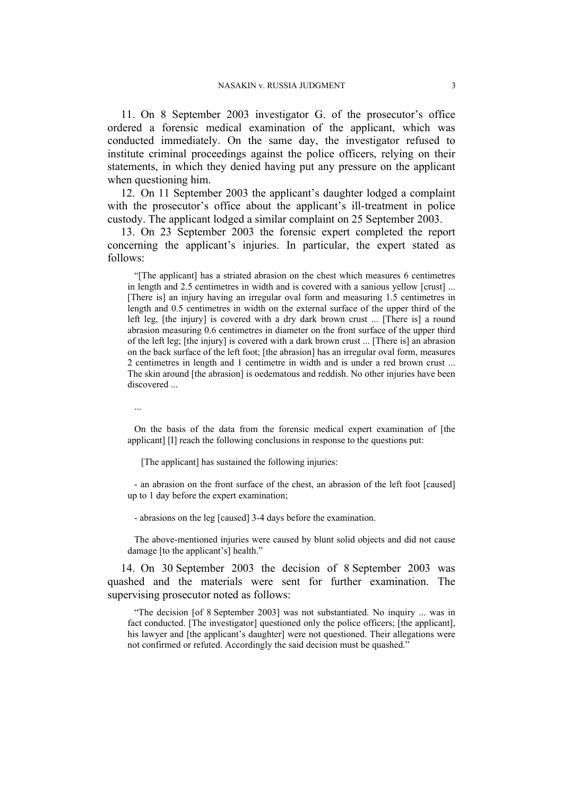<span id="page-4-0"></span>11. On 8 September 2003 investigator G. of the prosecutor's office ordered a forensic medical examination of the applicant, which was conducted immediately. On the same day, the investigator refused to institute criminal proceedings against the police officers, relying on their statements, in which they denied having put any pressure on the applicant when questioning him.

12. On 11 September 2003 the applicant's daughter lodged a complaint with the prosecutor's office about the applicant's ill-treatment in police custody. The applicant lodged a similar complaint on 25 September 2003.

<span id="page-4-1"></span>13. On 23 September 2003 the forensic expert completed the report concerning the applicant's injuries. In particular, the expert stated as follows:

"[The applicant] has a striated abrasion on the chest which measures 6 centimetres in length and 2.5 centimetres in width and is covered with a sanious yellow [crust] ... [There is] an injury having an irregular oval form and measuring 1.5 centimetres in length and 0.5 centimetres in width on the external surface of the upper third of the left leg, [the injury] is covered with a dry dark brown crust ... [There is] a round abrasion measuring 0.6 centimetres in diameter on the front surface of the upper third of the left leg; [the injury] is covered with a dark brown crust ... [There is] an abrasion on the back surface of the left foot; [the abrasion] has an irregular oval form, measures 2 centimetres in length and 1 centimetre in width and is under a red brown crust ... The skin around [the abrasion] is oedematous and reddish. No other injuries have been discovered ...

...

On the basis of the data from the forensic medical expert examination of [the applicant] [I] reach the following conclusions in response to the questions put:

[The applicant] has sustained the following injuries:

- an abrasion on the front surface of the chest, an abrasion of the left foot [caused] up to 1 day before the expert examination;

- abrasions on the leg [caused] 3-4 days before the examination.

The above-mentioned injuries were caused by blunt solid objects and did not cause damage [to the applicant's] health."

14. On 30 September 2003 the decision of 8 September 2003 was quashed and the materials were sent for further examination. The supervising prosecutor noted as follows:

"The decision [of 8 September 2003] was not substantiated. No inquiry ... was in fact conducted. [The investigator] questioned only the police officers; [the applicant], his lawyer and [the applicant's daughter] were not questioned. Their allegations were not confirmed or refuted. Accordingly the said decision must be quashed."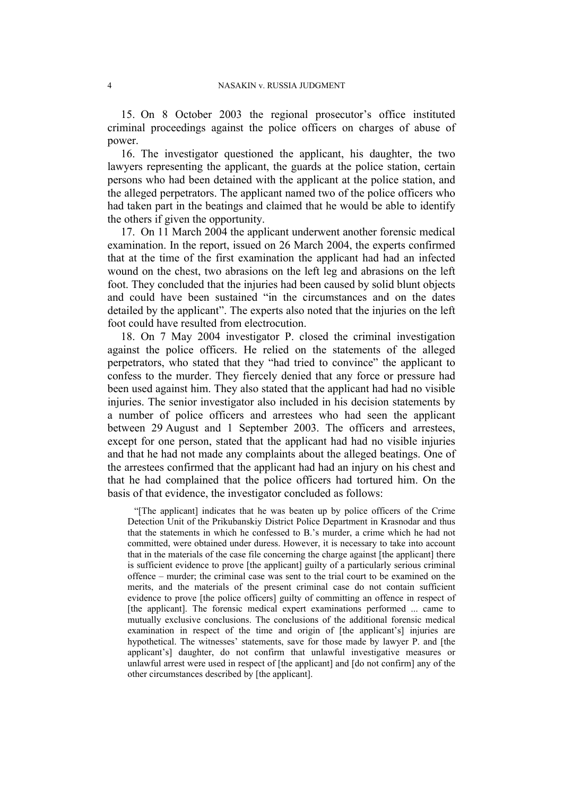15. On 8 October 2003 the regional prosecutor's office instituted criminal proceedings against the police officers on charges of abuse of power.

16. The investigator questioned the applicant, his daughter, the two lawyers representing the applicant, the guards at the police station, certain persons who had been detained with the applicant at the police station, and the alleged perpetrators. The applicant named two of the police officers who had taken part in the beatings and claimed that he would be able to identify the others if given the opportunity.

17. On 11 March 2004 the applicant underwent another forensic medical examination. In the report, issued on 26 March 2004, the experts confirmed that at the time of the first examination the applicant had had an infected wound on the chest, two abrasions on the left leg and abrasions on the left foot. They concluded that the injuries had been caused by solid blunt objects and could have been sustained "in the circumstances and on the dates detailed by the applicant". The experts also noted that the injuries on the left foot could have resulted from electrocution.

<span id="page-5-0"></span>18. On 7 May 2004 investigator P. closed the criminal investigation against the police officers. He relied on the statements of the alleged perpetrators, who stated that they "had tried to convince" the applicant to confess to the murder. They fiercely denied that any force or pressure had been used against him. They also stated that the applicant had had no visible injuries. The senior investigator also included in his decision statements by a number of police officers and arrestees who had seen the applicant between 29 August and 1 September 2003. The officers and arrestees, except for one person, stated that the applicant had had no visible injuries and that he had not made any complaints about the alleged beatings. One of the arrestees confirmed that the applicant had had an injury on his chest and that he had complained that the police officers had tortured him. On the basis of that evidence, the investigator concluded as follows:

"[The applicant] indicates that he was beaten up by police officers of the Crime Detection Unit of the Prikubanskiy District Police Department in Krasnodar and thus that the statements in which he confessed to B.'s murder, a crime which he had not committed, were obtained under duress. However, it is necessary to take into account that in the materials of the case file concerning the charge against [the applicant] there is sufficient evidence to prove [the applicant] guilty of a particularly serious criminal offence – murder; the criminal case was sent to the trial court to be examined on the merits, and the materials of the present criminal case do not contain sufficient evidence to prove [the police officers] guilty of committing an offence in respect of [the applicant]. The forensic medical expert examinations performed ... came to mutually exclusive conclusions. The conclusions of the additional forensic medical examination in respect of the time and origin of [the applicant's] injuries are hypothetical. The witnesses' statements, save for those made by lawyer P. and [the applicant's] daughter, do not confirm that unlawful investigative measures or unlawful arrest were used in respect of [the applicant] and [do not confirm] any of the other circumstances described by [the applicant].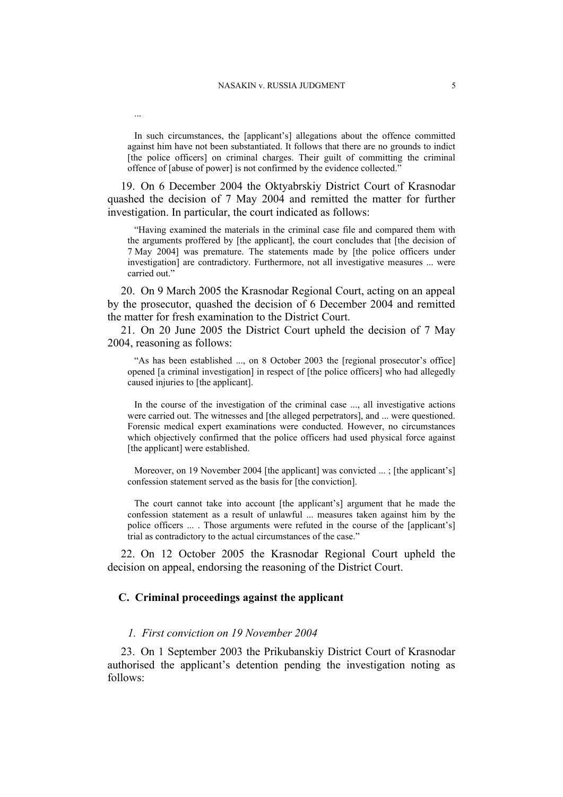...

In such circumstances, the [applicant's] allegations about the offence committed against him have not been substantiated. It follows that there are no grounds to indict [the police officers] on criminal charges. Their guilt of committing the criminal offence of [abuse of power] is not confirmed by the evidence collected."

19. On 6 December 2004 the Oktyabrskiy District Court of Krasnodar quashed the decision of 7 May 2004 and remitted the matter for further investigation. In particular, the court indicated as follows:

"Having examined the materials in the criminal case file and compared them with the arguments proffered by [the applicant], the court concludes that [the decision of 7 May 2004] was premature. The statements made by [the police officers under investigation] are contradictory. Furthermore, not all investigative measures ... were carried out."

20. On 9 March 2005 the Krasnodar Regional Court, acting on an appeal by the prosecutor, quashed the decision of 6 December 2004 and remitted the matter for fresh examination to the District Court.

21. On 20 June 2005 the District Court upheld the decision of 7 May 2004, reasoning as follows:

"As has been established ..., on 8 October 2003 the [regional prosecutor's office] opened [a criminal investigation] in respect of [the police officers] who had allegedly caused injuries to [the applicant].

In the course of the investigation of the criminal case ..., all investigative actions were carried out. The witnesses and [the alleged perpetrators], and ... were questioned. Forensic medical expert examinations were conducted. However, no circumstances which objectively confirmed that the police officers had used physical force against [the applicant] were established.

Moreover, on 19 November 2004 [the applicant] was convicted ...; [the applicant's] confession statement served as the basis for [the conviction].

The court cannot take into account [the applicant's] argument that he made the confession statement as a result of unlawful ... measures taken against him by the police officers ... . Those arguments were refuted in the course of the [applicant's] trial as contradictory to the actual circumstances of the case."

22. On 12 October 2005 the Krasnodar Regional Court upheld the decision on appeal, endorsing the reasoning of the District Court.

## **C. Criminal proceedings against the applicant**

#### *1. First conviction on 19 November 2004*

23. On 1 September 2003 the Prikubanskiy District Court of Krasnodar authorised the applicant's detention pending the investigation noting as follows: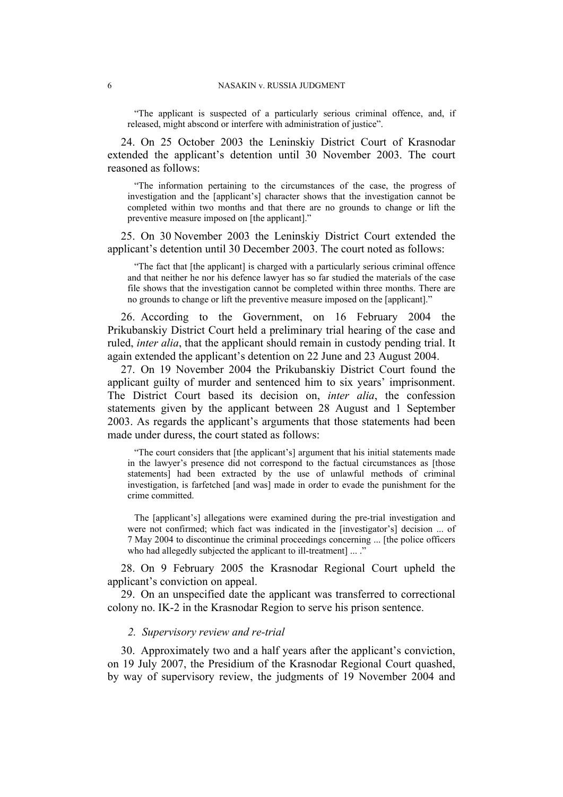"The applicant is suspected of a particularly serious criminal offence, and, if released, might abscond or interfere with administration of justice".

24. On 25 October 2003 the Leninskiy District Court of Krasnodar extended the applicant's detention until 30 November 2003. The court reasoned as follows:

"The information pertaining to the circumstances of the case, the progress of investigation and the [applicant's] character shows that the investigation cannot be completed within two months and that there are no grounds to change or lift the preventive measure imposed on [the applicant]."

25. On 30 November 2003 the Leninskiy District Court extended the applicant's detention until 30 December 2003. The court noted as follows:

"The fact that [the applicant] is charged with a particularly serious criminal offence and that neither he nor his defence lawyer has so far studied the materials of the case file shows that the investigation cannot be completed within three months. There are no grounds to change or lift the preventive measure imposed on the [applicant]."

26. According to the Government, on 16 February 2004 the Prikubanskiy District Court held a preliminary trial hearing of the case and ruled, *inter alia*, that the applicant should remain in custody pending trial. It again extended the applicant's detention on 22 June and 23 August 2004.

27. On 19 November 2004 the Prikubanskiy District Court found the applicant guilty of murder and sentenced him to six years' imprisonment. The District Court based its decision on, *inter alia*, the confession statements given by the applicant between 28 August and 1 September 2003. As regards the applicant's arguments that those statements had been made under duress, the court stated as follows:

"The court considers that [the applicant's] argument that his initial statements made in the lawyer's presence did not correspond to the factual circumstances as [those statements] had been extracted by the use of unlawful methods of criminal investigation, is farfetched [and was] made in order to evade the punishment for the crime committed.

The [applicant's] allegations were examined during the pre-trial investigation and were not confirmed; which fact was indicated in the [investigator's] decision ... of 7 May 2004 to discontinue the criminal proceedings concerning ... [the police officers who had allegedly subjected the applicant to ill-treatment] ... ."

28. On 9 February 2005 the Krasnodar Regional Court upheld the applicant's conviction on appeal.

29. On an unspecified date the applicant was transferred to correctional colony no. IK-2 in the Krasnodar Region to serve his prison sentence.

#### *2. Supervisory review and re-trial*

30. Approximately two and a half years after the applicant's conviction, on 19 July 2007, the Presidium of the Krasnodar Regional Court quashed, by way of supervisory review, the judgments of 19 November 2004 and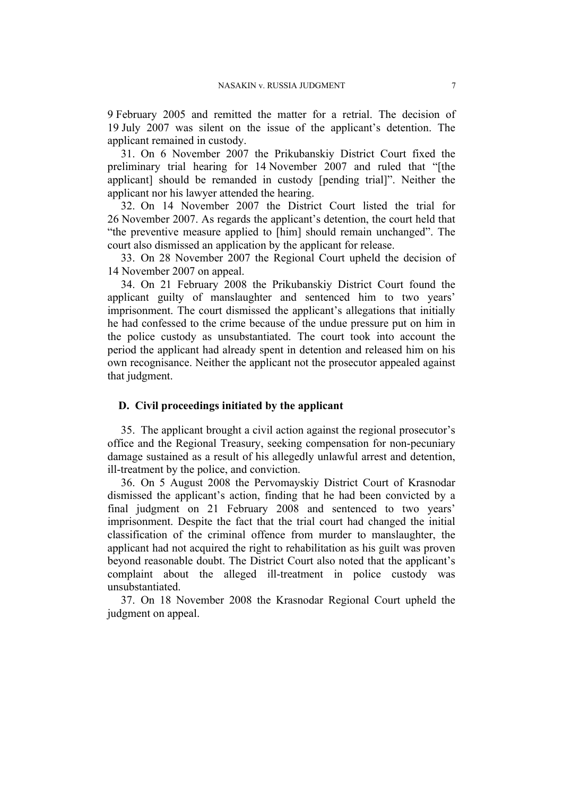9 February 2005 and remitted the matter for a retrial. The decision of 19 July 2007 was silent on the issue of the applicant's detention. The applicant remained in custody.

31. On 6 November 2007 the Prikubanskiy District Court fixed the preliminary trial hearing for 14 November 2007 and ruled that "[the applicant] should be remanded in custody [pending trial]". Neither the applicant nor his lawyer attended the hearing.

32. On 14 November 2007 the District Court listed the trial for 26 November 2007. As regards the applicant's detention, the court held that "the preventive measure applied to [him] should remain unchanged". The court also dismissed an application by the applicant for release.

33. On 28 November 2007 the Regional Court upheld the decision of 14 November 2007 on appeal.

34. On 21 February 2008 the Prikubanskiy District Court found the applicant guilty of manslaughter and sentenced him to two years' imprisonment. The court dismissed the applicant's allegations that initially he had confessed to the crime because of the undue pressure put on him in the police custody as unsubstantiated. The court took into account the period the applicant had already spent in detention and released him on his own recognisance. Neither the applicant not the prosecutor appealed against that judgment.

# **D. Civil proceedings initiated by the applicant**

35. The applicant brought a civil action against the regional prosecutor's office and the Regional Treasury, seeking compensation for non-pecuniary damage sustained as a result of his allegedly unlawful arrest and detention, ill-treatment by the police, and conviction.

36. On 5 August 2008 the Pervomayskiy District Court of Krasnodar dismissed the applicant's action, finding that he had been convicted by a final judgment on 21 February 2008 and sentenced to two years' imprisonment. Despite the fact that the trial court had changed the initial classification of the criminal offence from murder to manslaughter, the applicant had not acquired the right to rehabilitation as his guilt was proven beyond reasonable doubt. The District Court also noted that the applicant's complaint about the alleged ill-treatment in police custody was unsubstantiated.

37. On 18 November 2008 the Krasnodar Regional Court upheld the judgment on appeal.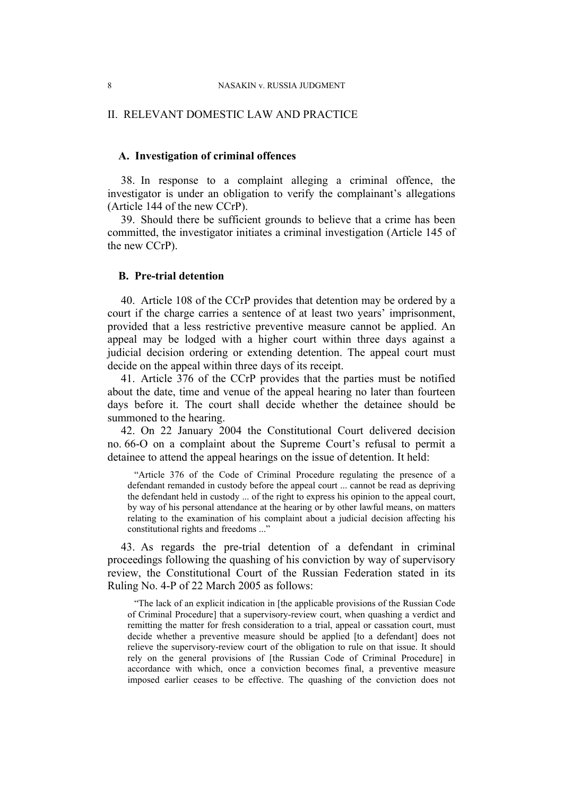#### II. RELEVANT DOMESTIC LAW AND PRACTICE

## **A. Investigation of criminal offences**

38. In response to a complaint alleging a criminal offence, the investigator is under an obligation to verify the complainant's allegations (Article 144 of the new CCrP).

39. Should there be sufficient grounds to believe that a crime has been committed, the investigator initiates a criminal investigation (Article 145 of the new CCrP).

# **B. Pre-trial detention**

40. Article 108 of the CCrP provides that detention may be ordered by a court if the charge carries a sentence of at least two years' imprisonment, provided that a less restrictive preventive measure cannot be applied. An appeal may be lodged with a higher court within three days against a judicial decision ordering or extending detention. The appeal court must decide on the appeal within three days of its receipt.

41. Article 376 of the CCrP provides that the parties must be notified about the date, time and venue of the appeal hearing no later than fourteen days before it. The court shall decide whether the detainee should be summoned to the hearing.

42. On 22 January 2004 the Constitutional Court delivered decision no. 66-O on a complaint about the Supreme Court's refusal to permit a detainee to attend the appeal hearings on the issue of detention. It held:

"Article 376 of the Code of Criminal Procedure regulating the presence of a defendant remanded in custody before the appeal court ... cannot be read as depriving the defendant held in custody ... of the right to express his opinion to the appeal court, by way of his personal attendance at the hearing or by other lawful means, on matters relating to the examination of his complaint about a judicial decision affecting his constitutional rights and freedoms ..."

<span id="page-9-0"></span>43. As regards the pre-trial detention of a defendant in criminal proceedings following the quashing of his conviction by way of supervisory review, the Constitutional Court of the Russian Federation stated in its Ruling No. 4-P of 22 March 2005 as follows:

"The lack of an explicit indication in [the applicable provisions of the Russian Code of Criminal Procedure] that a supervisory-review court, when quashing a verdict and remitting the matter for fresh consideration to a trial, appeal or cassation court, must decide whether a preventive measure should be applied [to a defendant] does not relieve the supervisory-review court of the obligation to rule on that issue. It should rely on the general provisions of [the Russian Code of Criminal Procedure] in accordance with which, once a conviction becomes final, a preventive measure imposed earlier ceases to be effective. The quashing of the conviction does not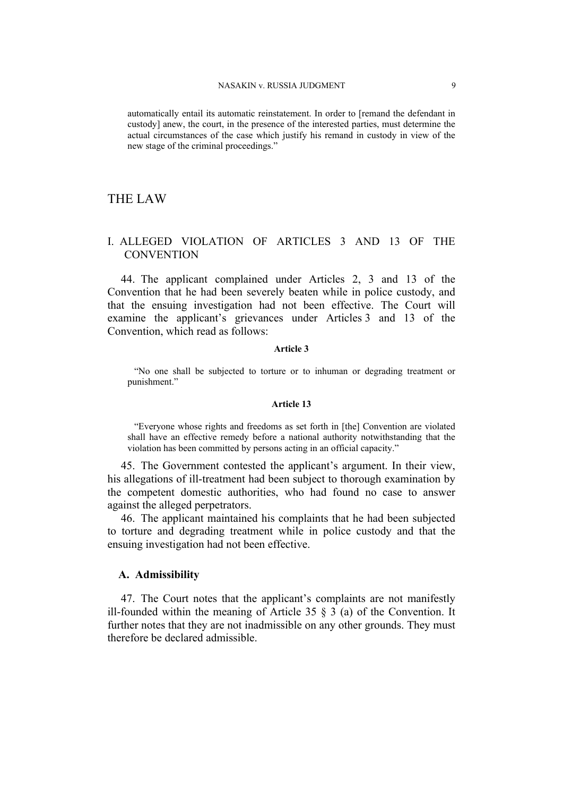automatically entail its automatic reinstatement. In order to [remand the defendant in custody] anew, the court, in the presence of the interested parties, must determine the actual circumstances of the case which justify his remand in custody in view of the new stage of the criminal proceedings."

# THE LAW

# I. ALLEGED VIOLATION OF ARTICLES 3 AND 13 OF THE **CONVENTION**

44. The applicant complained under Articles 2, 3 and 13 of the Convention that he had been severely beaten while in police custody, and that the ensuing investigation had not been effective. The Court will examine the applicant's grievances under Articles 3 and 13 of the Convention, which read as follows:

#### **Article 3**

"No one shall be subjected to torture or to inhuman or degrading treatment or punishment."

#### **Article 13**

"Everyone whose rights and freedoms as set forth in [the] Convention are violated shall have an effective remedy before a national authority notwithstanding that the violation has been committed by persons acting in an official capacity."

45. The Government contested the applicant's argument. In their view, his allegations of ill-treatment had been subject to thorough examination by the competent domestic authorities, who had found no case to answer against the alleged perpetrators.

46. The applicant maintained his complaints that he had been subjected to torture and degrading treatment while in police custody and that the ensuing investigation had not been effective.

# **A. Admissibility**

47. The Court notes that the applicant's complaints are not manifestly ill-founded within the meaning of Article 35  $\S$  3 (a) of the Convention. It further notes that they are not inadmissible on any other grounds. They must therefore be declared admissible.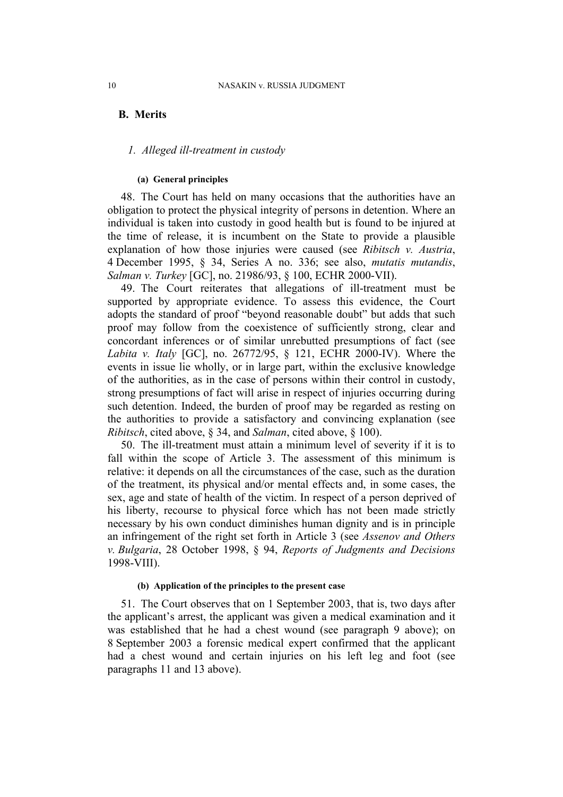# **B. Merits**

# *1. Alleged ill-treatment in custody*

#### **(a) General principles**

48. The Court has held on many occasions that the authorities have an obligation to protect the physical integrity of persons in detention. Where an individual is taken into custody in good health but is found to be injured at the time of release, it is incumbent on the State to provide a plausible explanation of how those injuries were caused (see *Ribitsch v. Austria*, 4 December 1995, § 34, Series A no. 336; see also, *mutatis mutandis*, *Salman v. Turkey* [GC], no. 21986/93, § 100, ECHR 2000-VII).

49. The Court reiterates that allegations of ill-treatment must be supported by appropriate evidence. To assess this evidence, the Court adopts the standard of proof "beyond reasonable doubt" but adds that such proof may follow from the coexistence of sufficiently strong, clear and concordant inferences or of similar unrebutted presumptions of fact (see *Labita v. Italy* [GC], no. 26772/95, § 121, ECHR 2000-IV). Where the events in issue lie wholly, or in large part, within the exclusive knowledge of the authorities, as in the case of persons within their control in custody, strong presumptions of fact will arise in respect of injuries occurring during such detention. Indeed, the burden of proof may be regarded as resting on the authorities to provide a satisfactory and convincing explanation (see *Ribitsch*, cited above, § 34, and *Salman*, cited above, § 100).

50. The ill-treatment must attain a minimum level of severity if it is to fall within the scope of Article 3. The assessment of this minimum is relative: it depends on all the circumstances of the case, such as the duration of the treatment, its physical and/or mental effects and, in some cases, the sex, age and state of health of the victim. In respect of a person deprived of his liberty, recourse to physical force which has not been made strictly necessary by his own conduct diminishes human dignity and is in principle an infringement of the right set forth in Article 3 (see *Assenov and Others v. Bulgaria*, 28 October 1998, § 94, *Reports of Judgments and Decisions* 1998-VIII).

#### **(b) Application of the principles to the present case**

<span id="page-11-0"></span>51. The Court observes that on 1 September 2003, that is, two days after the applicant's arrest, the applicant was given a medical examination and it was established that he had a chest wound (see paragraph [9](#page-3-0) above); on 8 September 2003 a forensic medical expert confirmed that the applicant had a chest wound and certain injuries on his left leg and foot (see paragraphs [11](#page-4-0) and [13](#page-4-1) above).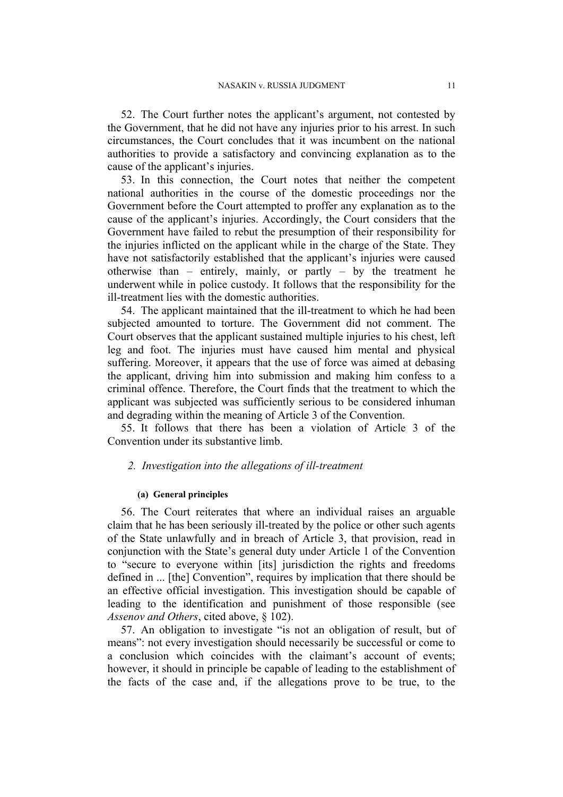52. The Court further notes the applicant's argument, not contested by the Government, that he did not have any injuries prior to his arrest. In such circumstances, the Court concludes that it was incumbent on the national authorities to provide a satisfactory and convincing explanation as to the cause of the applicant's injuries.

53. In this connection, the Court notes that neither the competent national authorities in the course of the domestic proceedings nor the Government before the Court attempted to proffer any explanation as to the cause of the applicant's injuries. Accordingly, the Court considers that the Government have failed to rebut the presumption of their responsibility for the injuries inflicted on the applicant while in the charge of the State. They have not satisfactorily established that the applicant's injuries were caused otherwise than – entirely, mainly, or partly – by the treatment he underwent while in police custody. It follows that the responsibility for the ill-treatment lies with the domestic authorities.

54. The applicant maintained that the ill-treatment to which he had been subjected amounted to torture. The Government did not comment. The Court observes that the applicant sustained multiple injuries to his chest, left leg and foot. The injuries must have caused him mental and physical suffering. Moreover, it appears that the use of force was aimed at debasing the applicant, driving him into submission and making him confess to a criminal offence. Therefore, the Court finds that the treatment to which the applicant was subjected was sufficiently serious to be considered inhuman and degrading within the meaning of Article 3 of the Convention.

<span id="page-12-0"></span>55. It follows that there has been a violation of Article 3 of the Convention under its substantive limb.

## *2. Investigation into the allegations of ill-treatment*

#### **(a) General principles**

56. The Court reiterates that where an individual raises an arguable claim that he has been seriously ill-treated by the police or other such agents of the State unlawfully and in breach of Article 3, that provision, read in conjunction with the State's general duty under Article 1 of the Convention to "secure to everyone within [its] jurisdiction the rights and freedoms defined in ... [the] Convention", requires by implication that there should be an effective official investigation. This investigation should be capable of leading to the identification and punishment of those responsible (see *Assenov and Others*, cited above, § 102).

57. An obligation to investigate "is not an obligation of result, but of means": not every investigation should necessarily be successful or come to a conclusion which coincides with the claimant's account of events; however, it should in principle be capable of leading to the establishment of the facts of the case and, if the allegations prove to be true, to the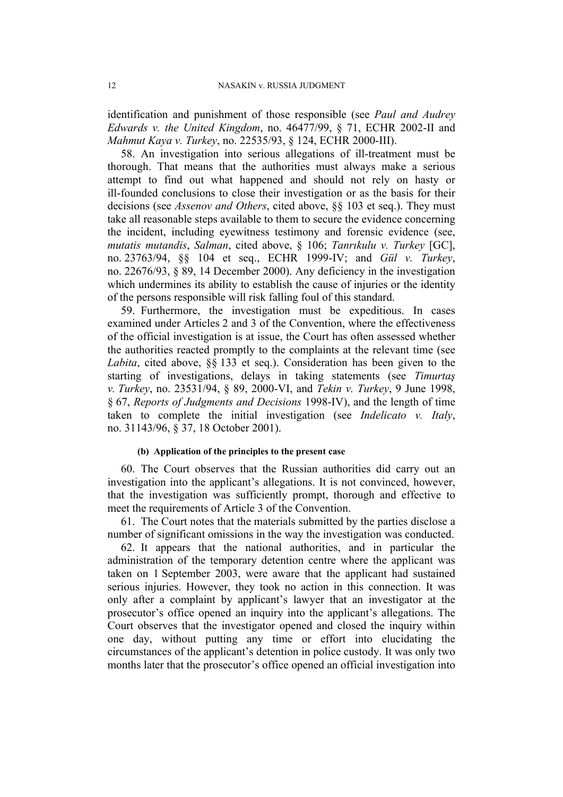identification and punishment of those responsible (see *Paul and Audrey Edwards v. the United Kingdom*, no. 46477/99, § 71, ECHR 2002-II and *Mahmut Kaya v. Turkey*, no. 22535/93, § 124, ECHR 2000-III).

58. An investigation into serious allegations of ill-treatment must be thorough. That means that the authorities must always make a serious attempt to find out what happened and should not rely on hasty or ill-founded conclusions to close their investigation or as the basis for their decisions (see *Assenov and Others*, cited above, §§ 103 et seq.). They must take all reasonable steps available to them to secure the evidence concerning the incident, including eyewitness testimony and forensic evidence (see, *mutatis mutandis*, *Salman*, cited above, § 106; *Tanrıkulu v. Turkey* [GC], no. 23763/94, §§ 104 et seq., ECHR 1999-IV; and *Gül v. Turkey*, no. 22676/93, § 89, 14 December 2000). Any deficiency in the investigation which undermines its ability to establish the cause of injuries or the identity of the persons responsible will risk falling foul of this standard.

59. Furthermore, the investigation must be expeditious. In cases examined under Articles 2 and 3 of the Convention, where the effectiveness of the official investigation is at issue, the Court has often assessed whether the authorities reacted promptly to the complaints at the relevant time (see *Labita*, cited above, §§ 133 et seq.). Consideration has been given to the starting of investigations, delays in taking statements (see *Timurtaş v. Turkey*, no. 23531/94, § 89, 2000-VI, and *Tekin v. Turkey*, 9 June 1998, § 67, *Reports of Judgments and Decisions* 1998-IV), and the length of time taken to complete the initial investigation (see *Indelicato v. Italy*, no. 31143/96, § 37, 18 October 2001).

### **(b) Application of the principles to the present case**

<span id="page-13-0"></span>60. The Court observes that the Russian authorities did carry out an investigation into the applicant's allegations. It is not convinced, however, that the investigation was sufficiently prompt, thorough and effective to meet the requirements of Article 3 of the Convention.

61. The Court notes that the materials submitted by the parties disclose a number of significant omissions in the way the investigation was conducted.

62. It appears that the national authorities, and in particular the administration of the temporary detention centre where the applicant was taken on 1 September 2003, were aware that the applicant had sustained serious injuries. However, they took no action in this connection. It was only after a complaint by applicant's lawyer that an investigator at the prosecutor's office opened an inquiry into the applicant's allegations. The Court observes that the investigator opened and closed the inquiry within one day, without putting any time or effort into elucidating the circumstances of the applicant's detention in police custody. It was only two months later that the prosecutor's office opened an official investigation into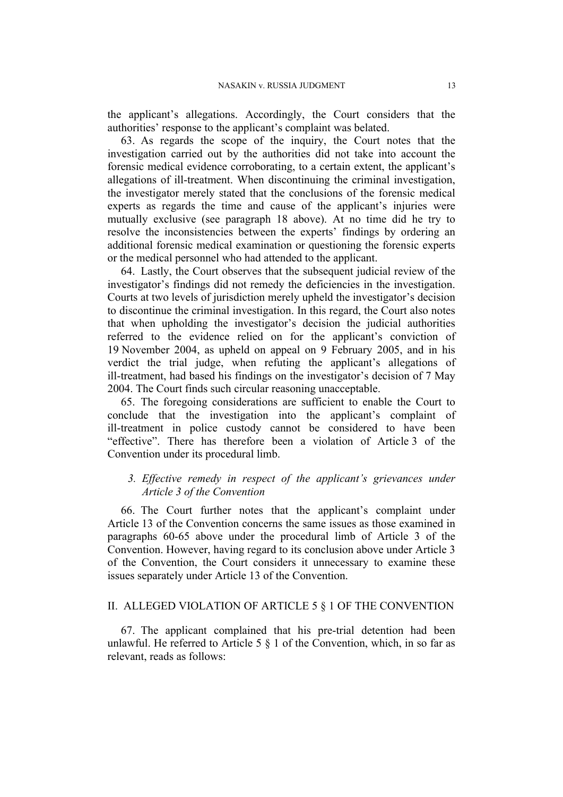the applicant's allegations. Accordingly, the Court considers that the authorities' response to the applicant's complaint was belated.

63. As regards the scope of the inquiry, the Court notes that the investigation carried out by the authorities did not take into account the forensic medical evidence corroborating, to a certain extent, the applicant's allegations of ill-treatment. When discontinuing the criminal investigation, the investigator merely stated that the conclusions of the forensic medical experts as regards the time and cause of the applicant's injuries were mutually exclusive (see paragraph [18](#page-5-0) above). At no time did he try to resolve the inconsistencies between the experts' findings by ordering an additional forensic medical examination or questioning the forensic experts or the medical personnel who had attended to the applicant.

64. Lastly, the Court observes that the subsequent judicial review of the investigator's findings did not remedy the deficiencies in the investigation. Courts at two levels of jurisdiction merely upheld the investigator's decision to discontinue the criminal investigation. In this regard, the Court also notes that when upholding the investigator's decision the judicial authorities referred to the evidence relied on for the applicant's conviction of 19 November 2004, as upheld on appeal on 9 February 2005, and in his verdict the trial judge, when refuting the applicant's allegations of ill-treatment, had based his findings on the investigator's decision of 7 May 2004. The Court finds such circular reasoning unacceptable.

<span id="page-14-0"></span>65. The foregoing considerations are sufficient to enable the Court to conclude that the investigation into the applicant's complaint of ill-treatment in police custody cannot be considered to have been "effective". There has therefore been a violation of Article 3 of the Convention under its procedural limb.

# *3. Effective remedy in respect of the applicant's grievances under Article 3 of the Convention*

66. The Court further notes that the applicant's complaint under Article 13 of the Convention concerns the same issues as those examined in paragraphs [60-](#page-13-0)[65](#page-14-0) above under the procedural limb of Article 3 of the Convention. However, having regard to its conclusion above under Article 3 of the Convention, the Court considers it unnecessary to examine these issues separately under Article 13 of the Convention.

# II. ALLEGED VIOLATION OF ARTICLE 5 § 1 OF THE CONVENTION

67. The applicant complained that his pre-trial detention had been unlawful. He referred to Article 5  $\S$  1 of the Convention, which, in so far as relevant, reads as follows: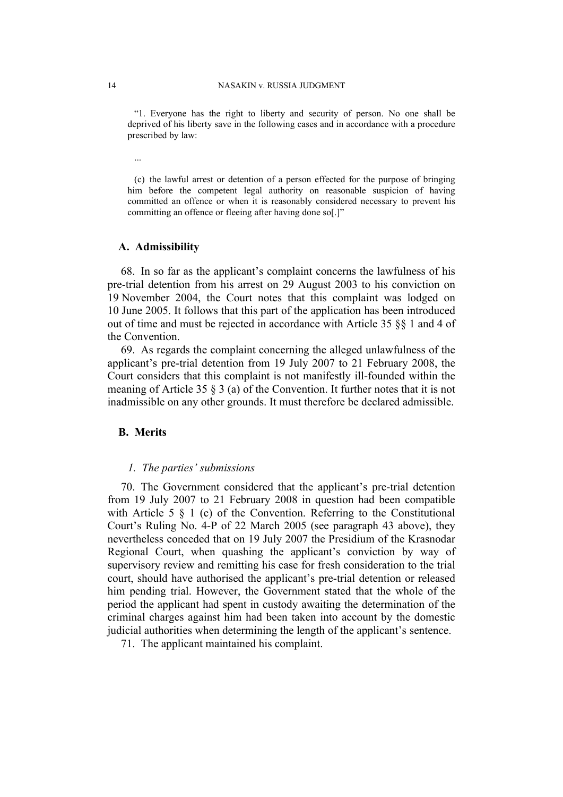"1. Everyone has the right to liberty and security of person. No one shall be deprived of his liberty save in the following cases and in accordance with a procedure prescribed by law:

...

(c) the lawful arrest or detention of a person effected for the purpose of bringing him before the competent legal authority on reasonable suspicion of having committed an offence or when it is reasonably considered necessary to prevent his committing an offence or fleeing after having done so[.]"

#### **A. Admissibility**

68. In so far as the applicant's complaint concerns the lawfulness of his pre-trial detention from his arrest on 29 August 2003 to his conviction on 19 November 2004, the Court notes that this complaint was lodged on 10 June 2005. It follows that this part of the application has been introduced out of time and must be rejected in accordance with Article 35 §§ 1 and 4 of the Convention.

69. As regards the complaint concerning the alleged unlawfulness of the applicant's pre-trial detention from 19 July 2007 to 21 February 2008, the Court considers that this complaint is not manifestly ill-founded within the meaning of Article 35 § 3 (a) of the Convention. It further notes that it is not inadmissible on any other grounds. It must therefore be declared admissible.

# **B. Merits**

#### *1. The parties' submissions*

70. The Government considered that the applicant's pre-trial detention from 19 July 2007 to 21 February 2008 in question had been compatible with Article 5  $\&$  1 (c) of the Convention. Referring to the Constitutional Court's Ruling No. 4-P of 22 March 2005 (see paragraph [43](#page-9-0) above), they nevertheless conceded that on 19 July 2007 the Presidium of the Krasnodar Regional Court, when quashing the applicant's conviction by way of supervisory review and remitting his case for fresh consideration to the trial court, should have authorised the applicant's pre-trial detention or released him pending trial. However, the Government stated that the whole of the period the applicant had spent in custody awaiting the determination of the criminal charges against him had been taken into account by the domestic judicial authorities when determining the length of the applicant's sentence.

71. The applicant maintained his complaint.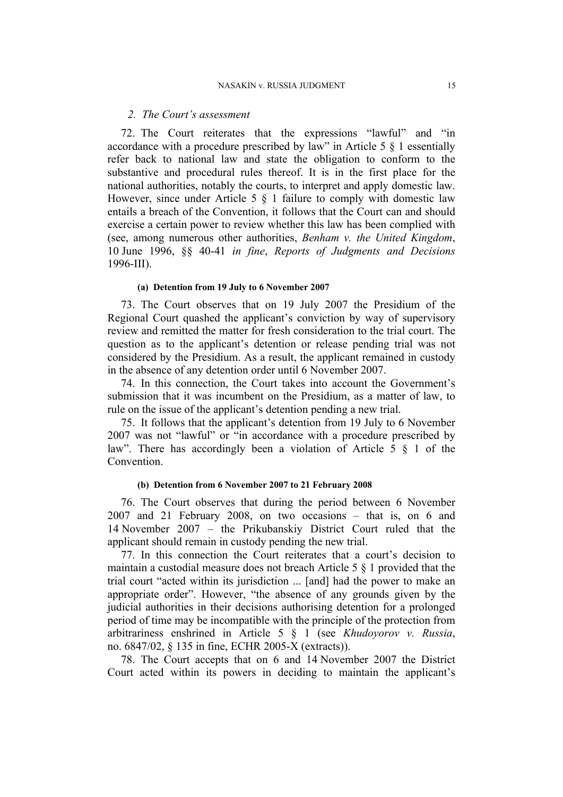# *2. The Court's assessment*

72. The Court reiterates that the expressions "lawful" and "in accordance with a procedure prescribed by law" in Article 5 § 1 essentially refer back to national law and state the obligation to conform to the substantive and procedural rules thereof. It is in the first place for the national authorities, notably the courts, to interpret and apply domestic law. However, since under Article 5 § 1 failure to comply with domestic law entails a breach of the Convention, it follows that the Court can and should exercise a certain power to review whether this law has been complied with (see, among numerous other authorities, *Benham v. the United Kingdom*, 10 June 1996, §§ 40-41 *in fine*, *Reports of Judgments and Decisions* 1996-III).

#### **(a) Detention from 19 July to 6 November 2007**

<span id="page-16-0"></span>73. The Court observes that on 19 July 2007 the Presidium of the Regional Court quashed the applicant's conviction by way of supervisory review and remitted the matter for fresh consideration to the trial court. The question as to the applicant's detention or release pending trial was not considered by the Presidium. As a result, the applicant remained in custody in the absence of any detention order until 6 November 2007.

74. In this connection, the Court takes into account the Government's submission that it was incumbent on the Presidium, as a matter of law, to rule on the issue of the applicant's detention pending a new trial.

<span id="page-16-1"></span>75. It follows that the applicant's detention from 19 July to 6 November 2007 was not "lawful" or "in accordance with a procedure prescribed by law". There has accordingly been a violation of Article 5 § 1 of the Convention.

# **(b) Detention from 6 November 2007 to 21 February 2008**

76. The Court observes that during the period between 6 November 2007 and 21 February 2008, on two occasions – that is, on 6 and 14 November 2007 – the Prikubanskiy District Court ruled that the applicant should remain in custody pending the new trial.

77. In this connection the Court reiterates that a court's decision to maintain a custodial measure does not breach Article 5 § 1 provided that the trial court "acted within its jurisdiction ... [and] had the power to make an appropriate order". However, "the absence of any grounds given by the judicial authorities in their decisions authorising detention for a prolonged period of time may be incompatible with the principle of the protection from arbitrariness enshrined in Article 5 § 1 (see *Khudoyorov v. Russia*, no. 6847/02, § 135 in fine, ECHR 2005-X (extracts)).

78. The Court accepts that on 6 and 14 November 2007 the District Court acted within its powers in deciding to maintain the applicant's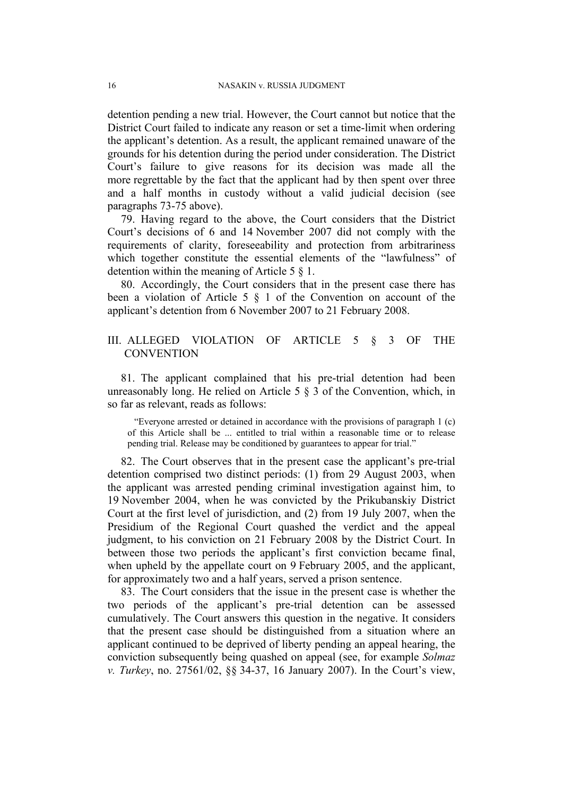detention pending a new trial. However, the Court cannot but notice that the District Court failed to indicate any reason or set a time-limit when ordering the applicant's detention. As a result, the applicant remained unaware of the grounds for his detention during the period under consideration. The District Court's failure to give reasons for its decision was made all the more regrettable by the fact that the applicant had by then spent over three and a half months in custody without a valid judicial decision (see paragraphs [73](#page-16-0)[-75](#page-16-1) above).

79. Having regard to the above, the Court considers that the District Court's decisions of 6 and 14 November 2007 did not comply with the requirements of clarity, foreseeability and protection from arbitrariness which together constitute the essential elements of the "lawfulness" of detention within the meaning of Article 5 § 1.

80. Accordingly, the Court considers that in the present case there has been a violation of Article 5 § 1 of the Convention on account of the applicant's detention from 6 November 2007 to 21 February 2008.

# III. ALLEGED VIOLATION OF ARTICLE 5 § 3 OF THE **CONVENTION**

81. The applicant complained that his pre-trial detention had been unreasonably long. He relied on Article 5 § 3 of the Convention, which, in so far as relevant, reads as follows:

"Everyone arrested or detained in accordance with the provisions of paragraph 1 (c) of this Article shall be ... entitled to trial within a reasonable time or to release pending trial. Release may be conditioned by guarantees to appear for trial."

82. The Court observes that in the present case the applicant's pre-trial detention comprised two distinct periods: (1) from 29 August 2003, when the applicant was arrested pending criminal investigation against him, to 19 November 2004, when he was convicted by the Prikubanskiy District Court at the first level of jurisdiction, and (2) from 19 July 2007, when the Presidium of the Regional Court quashed the verdict and the appeal judgment, to his conviction on 21 February 2008 by the District Court. In between those two periods the applicant's first conviction became final, when upheld by the appellate court on 9 February 2005, and the applicant, for approximately two and a half years, served a prison sentence.

83. The Court considers that the issue in the present case is whether the two periods of the applicant's pre-trial detention can be assessed cumulatively. The Court answers this question in the negative. It considers that the present case should be distinguished from a situation where an applicant continued to be deprived of liberty pending an appeal hearing, the conviction subsequently being quashed on appeal (see, for example *Solmaz v. Turkey*, no. 27561/02, §§ 34-37, 16 January 2007). In the Court's view,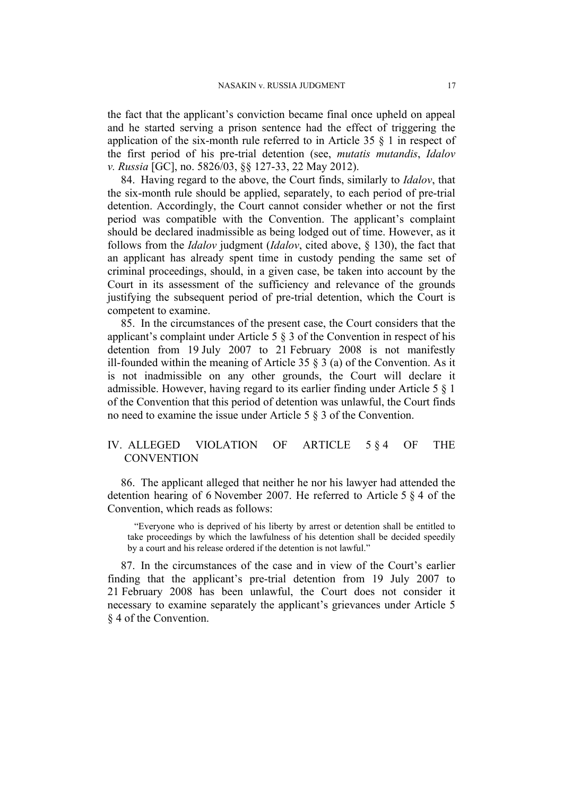the fact that the applicant's conviction became final once upheld on appeal and he started serving a prison sentence had the effect of triggering the application of the six-month rule referred to in Article 35 § 1 in respect of the first period of his pre-trial detention (see, *mutatis mutandis*, *Idalov v. Russia* [GC], no. 5826/03, §§ 127-33, 22 May 2012).

84. Having regard to the above, the Court finds, similarly to *Idalov*, that the six-month rule should be applied, separately, to each period of pre-trial detention. Accordingly, the Court cannot consider whether or not the first period was compatible with the Convention. The applicant's complaint should be declared inadmissible as being lodged out of time. However, as it follows from the *Idalov* judgment (*Idalov*, cited above, § 130), the fact that an applicant has already spent time in custody pending the same set of criminal proceedings, should, in a given case, be taken into account by the Court in its assessment of the sufficiency and relevance of the grounds justifying the subsequent period of pre-trial detention, which the Court is competent to examine.

85. In the circumstances of the present case, the Court considers that the applicant's complaint under Article 5 § 3 of the Convention in respect of his detention from 19 July 2007 to 21 February 2008 is not manifestly ill-founded within the meaning of Article 35 § 3 (a) of the Convention. As it is not inadmissible on any other grounds, the Court will declare it admissible. However, having regard to its earlier finding under Article 5 § 1 of the Convention that this period of detention was unlawful, the Court finds no need to examine the issue under Article 5 § 3 of the Convention.

# IV. ALLEGED VIOLATION OF ARTICLE 5 § 4 OF THE **CONVENTION**

86. The applicant alleged that neither he nor his lawyer had attended the detention hearing of 6 November 2007. He referred to Article 5 § 4 of the Convention, which reads as follows:

"Everyone who is deprived of his liberty by arrest or detention shall be entitled to take proceedings by which the lawfulness of his detention shall be decided speedily by a court and his release ordered if the detention is not lawful."

87. In the circumstances of the case and in view of the Court's earlier finding that the applicant's pre-trial detention from 19 July 2007 to 21 February 2008 has been unlawful, the Court does not consider it necessary to examine separately the applicant's grievances under Article 5 § 4 of the Convention.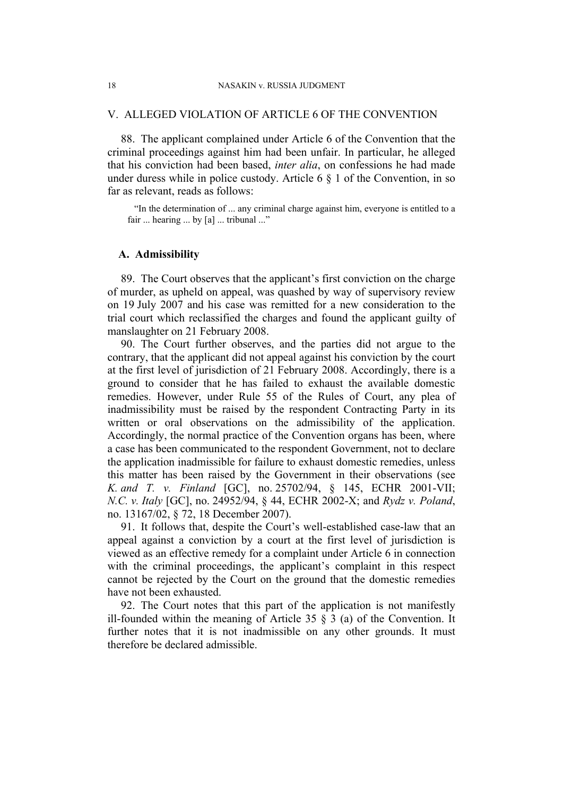#### V. ALLEGED VIOLATION OF ARTICLE 6 OF THE CONVENTION

88. The applicant complained under Article 6 of the Convention that the criminal proceedings against him had been unfair. In particular, he alleged that his conviction had been based, *inter alia*, on confessions he had made under duress while in police custody. Article  $6 \S 1$  of the Convention, in so far as relevant, reads as follows:

"In the determination of ... any criminal charge against him, everyone is entitled to a fair ... hearing ... by [a] ... tribunal ..."

### **A. Admissibility**

89. The Court observes that the applicant's first conviction on the charge of murder, as upheld on appeal, was quashed by way of supervisory review on 19 July 2007 and his case was remitted for a new consideration to the trial court which reclassified the charges and found the applicant guilty of manslaughter on 21 February 2008.

90. The Court further observes, and the parties did not argue to the contrary, that the applicant did not appeal against his conviction by the court at the first level of jurisdiction of 21 February 2008. Accordingly, there is a ground to consider that he has failed to exhaust the available domestic remedies. However, under Rule 55 of the Rules of Court, any plea of inadmissibility must be raised by the respondent Contracting Party in its written or oral observations on the admissibility of the application. Accordingly, the normal practice of the Convention organs has been, where a case has been communicated to the respondent Government, not to declare the application inadmissible for failure to exhaust domestic remedies, unless this matter has been raised by the Government in their observations (see *K. and T. v. Finland* [GC], no. 25702/94, § 145, ECHR 2001-VII; *N.C. v. Italy* [GC], no. 24952/94, § 44, ECHR 2002-X; and *Rydz v. Poland*, no. 13167/02, § 72, 18 December 2007).

91. It follows that, despite the Court's well-established case-law that an appeal against a conviction by a court at the first level of jurisdiction is viewed as an effective remedy for a complaint under Article 6 in connection with the criminal proceedings, the applicant's complaint in this respect cannot be rejected by the Court on the ground that the domestic remedies have not been exhausted.

92. The Court notes that this part of the application is not manifestly ill-founded within the meaning of Article 35  $\frac{8}{3}$  (a) of the Convention. It further notes that it is not inadmissible on any other grounds. It must therefore be declared admissible.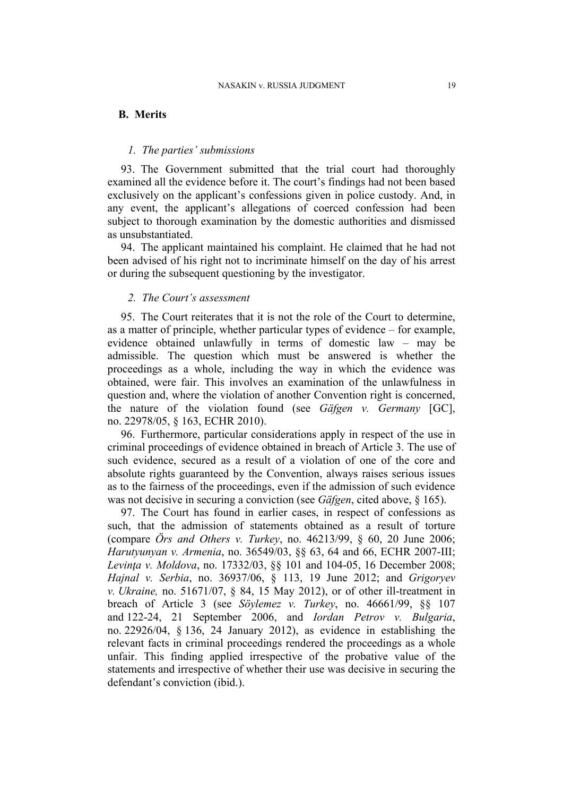# **B. Merits**

# *1. The parties' submissions*

93. The Government submitted that the trial court had thoroughly examined all the evidence before it. The court's findings had not been based exclusively on the applicant's confessions given in police custody. And, in any event, the applicant's allegations of coerced confession had been subject to thorough examination by the domestic authorities and dismissed as unsubstantiated.

94. The applicant maintained his complaint. He claimed that he had not been advised of his right not to incriminate himself on the day of his arrest or during the subsequent questioning by the investigator.

# *2. The Court's assessment*

95. The Court reiterates that it is not the role of the Court to determine, as a matter of principle, whether particular types of evidence – for example, evidence obtained unlawfully in terms of domestic law – may be admissible. The question which must be answered is whether the proceedings as a whole, including the way in which the evidence was obtained, were fair. This involves an examination of the unlawfulness in question and, where the violation of another Convention right is concerned, the nature of the violation found (see *Gäfgen v. Germany* [GC], no. 22978/05, § 163, ECHR 2010).

96. Furthermore, particular considerations apply in respect of the use in criminal proceedings of evidence obtained in breach of Article 3. The use of such evidence, secured as a result of a violation of one of the core and absolute rights guaranteed by the Convention, always raises serious issues as to the fairness of the proceedings, even if the admission of such evidence was not decisive in securing a conviction (see *Gäfgen*, cited above, § 165).

97. The Court has found in earlier cases, in respect of confessions as such, that the admission of statements obtained as a result of torture (compare *Örs and Others v. Turkey*, no. 46213/99, § 60, 20 June 2006; *Harutyunyan v. Armenia*, no. 36549/03, §§ 63, 64 and 66, ECHR 2007-III; *Levinţa v. Moldova*, no. 17332/03, §§ 101 and 104-05, 16 December 2008; *Hajnal v. Serbia*, no. 36937/06, § 113, 19 June 2012; and *Grigoryev v. Ukraine,* no. 51671/07, § 84, 15 May 2012), or of other ill-treatment in breach of Article 3 (see *Söylemez v. Turkey*, no. 46661/99, §§ 107 and 122-24, 21 September 2006, and *Iordan Petrov v. Bulgaria*, no. 22926/04, § 136, 24 January 2012), as evidence in establishing the relevant facts in criminal proceedings rendered the proceedings as a whole unfair. This finding applied irrespective of the probative value of the statements and irrespective of whether their use was decisive in securing the defendant's conviction (ibid.).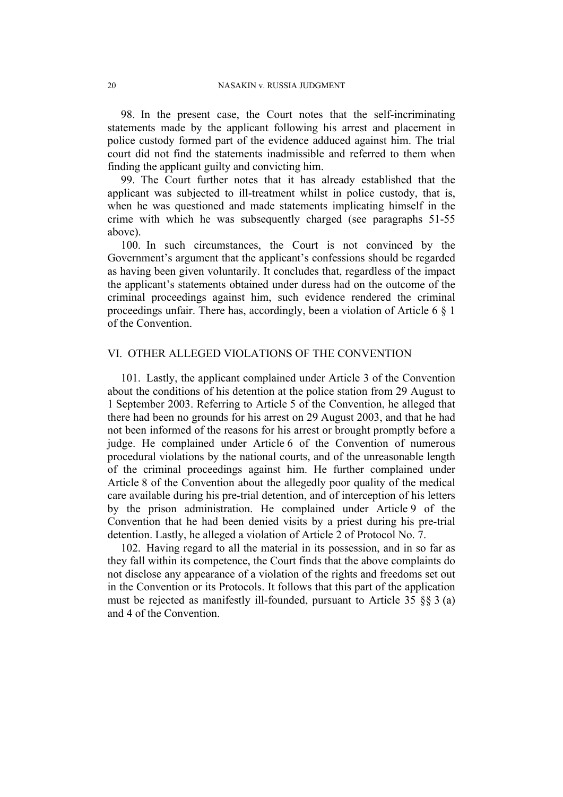98. In the present case, the Court notes that the self-incriminating statements made by the applicant following his arrest and placement in police custody formed part of the evidence adduced against him. The trial court did not find the statements inadmissible and referred to them when finding the applicant guilty and convicting him.

99. The Court further notes that it has already established that the applicant was subjected to ill-treatment whilst in police custody, that is, when he was questioned and made statements implicating himself in the crime with which he was subsequently charged (see paragraphs [51-](#page-11-0)[55](#page-12-0) above).

100. In such circumstances, the Court is not convinced by the Government's argument that the applicant's confessions should be regarded as having been given voluntarily. It concludes that, regardless of the impact the applicant's statements obtained under duress had on the outcome of the criminal proceedings against him, such evidence rendered the criminal proceedings unfair. There has, accordingly, been a violation of Article 6 § 1 of the Convention.

# VI. OTHER ALLEGED VIOLATIONS OF THE CONVENTION

101. Lastly, the applicant complained under Article 3 of the Convention about the conditions of his detention at the police station from 29 August to 1 September 2003. Referring to Article 5 of the Convention, he alleged that there had been no grounds for his arrest on 29 August 2003, and that he had not been informed of the reasons for his arrest or brought promptly before a judge. He complained under Article 6 of the Convention of numerous procedural violations by the national courts, and of the unreasonable length of the criminal proceedings against him. He further complained under Article 8 of the Convention about the allegedly poor quality of the medical care available during his pre-trial detention, and of interception of his letters by the prison administration. He complained under Article 9 of the Convention that he had been denied visits by a priest during his pre-trial detention. Lastly, he alleged a violation of Article 2 of Protocol No. 7.

102. Having regard to all the material in its possession, and in so far as they fall within its competence, the Court finds that the above complaints do not disclose any appearance of a violation of the rights and freedoms set out in the Convention or its Protocols. It follows that this part of the application must be rejected as manifestly ill-founded, pursuant to Article 35 §§ 3 (a) and 4 of the Convention.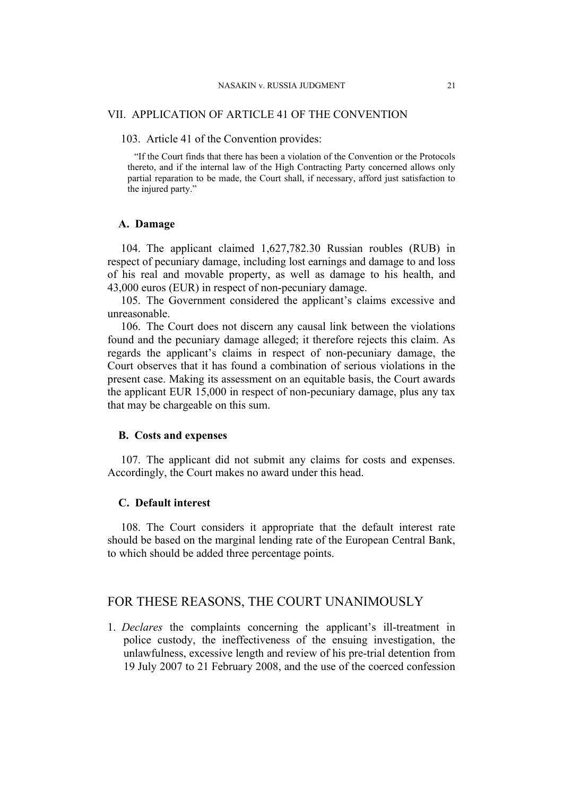#### VII. APPLICATION OF ARTICLE 41 OF THE CONVENTION

#### 103. Article 41 of the Convention provides:

"If the Court finds that there has been a violation of the Convention or the Protocols thereto, and if the internal law of the High Contracting Party concerned allows only partial reparation to be made, the Court shall, if necessary, afford just satisfaction to the injured party."

## **A. Damage**

104. The applicant claimed 1,627,782.30 Russian roubles (RUB) in respect of pecuniary damage, including lost earnings and damage to and loss of his real and movable property, as well as damage to his health, and 43,000 euros (EUR) in respect of non-pecuniary damage.

105. The Government considered the applicant's claims excessive and unreasonable.

106. The Court does not discern any causal link between the violations found and the pecuniary damage alleged; it therefore rejects this claim. As regards the applicant's claims in respect of non-pecuniary damage, the Court observes that it has found a combination of serious violations in the present case. Making its assessment on an equitable basis, the Court awards the applicant EUR 15,000 in respect of non-pecuniary damage, plus any tax that may be chargeable on this sum.

#### **B. Costs and expenses**

107. The applicant did not submit any claims for costs and expenses. Accordingly, the Court makes no award under this head.

# **C. Default interest**

108. The Court considers it appropriate that the default interest rate should be based on the marginal lending rate of the European Central Bank, to which should be added three percentage points.

# FOR THESE REASONS, THE COURT UNANIMOUSLY

1. *Declares* the complaints concerning the applicant's ill-treatment in police custody, the ineffectiveness of the ensuing investigation, the unlawfulness, excessive length and review of his pre-trial detention from 19 July 2007 to 21 February 2008, and the use of the coerced confession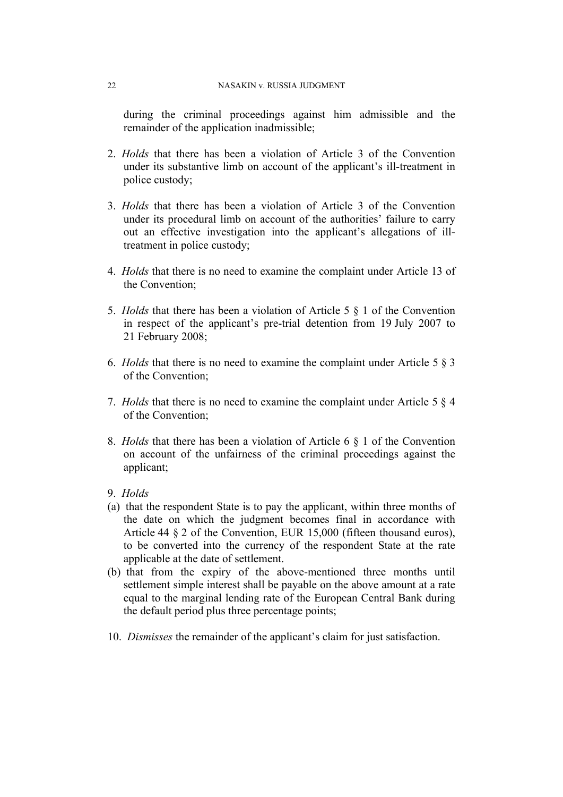during the criminal proceedings against him admissible and the remainder of the application inadmissible;

- 2. *Holds* that there has been a violation of Article 3 of the Convention under its substantive limb on account of the applicant's ill-treatment in police custody;
- 3. *Holds* that there has been a violation of Article 3 of the Convention under its procedural limb on account of the authorities' failure to carry out an effective investigation into the applicant's allegations of illtreatment in police custody;
- 4. *Holds* that there is no need to examine the complaint under Article 13 of the Convention;
- 5. *Holds* that there has been a violation of Article 5 § 1 of the Convention in respect of the applicant's pre-trial detention from 19 July 2007 to 21 February 2008;
- 6. *Holds* that there is no need to examine the complaint under Article 5 § 3 of the Convention;
- 7. *Holds* that there is no need to examine the complaint under Article 5 § 4 of the Convention;
- 8. *Holds* that there has been a violation of Article 6 § 1 of the Convention on account of the unfairness of the criminal proceedings against the applicant;
- 9. *Holds*
- (a) that the respondent State is to pay the applicant, within three months of the date on which the judgment becomes final in accordance with Article 44 § 2 of the Convention, EUR 15,000 (fifteen thousand euros), to be converted into the currency of the respondent State at the rate applicable at the date of settlement.
- (b) that from the expiry of the above-mentioned three months until settlement simple interest shall be payable on the above amount at a rate equal to the marginal lending rate of the European Central Bank during the default period plus three percentage points;
- 10. *Dismisses* the remainder of the applicant's claim for just satisfaction.